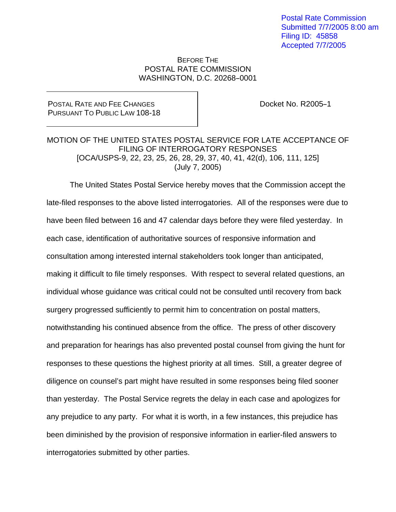Postal Rate Commission Submitted 7/7/2005 8:00 am Filing ID: 45858 Accepted 7/7/2005

## BEFORE THE POSTAL RATE COMMISSION WASHINGTON, D.C. 20268-0001

## POSTAL RATE AND FEE CHANGES PURSUANT TO PUBLIC LAW 108-18

Docket No. R2005-1

## MOTION OF THE UNITED STATES POSTAL SERVICE FOR LATE ACCEPTANCE OF FILING OF INTERROGATORY RESPONSES [OCA/USPS-9, 22, 23, 25, 26, 28, 29, 37, 40, 41, 42(d), 106, 111, 125] (July 7, 2005)

 The United States Postal Service hereby moves that the Commission accept the late-filed responses to the above listed interrogatories. All of the responses were due to have been filed between 16 and 47 calendar days before they were filed yesterday. In each case, identification of authoritative sources of responsive information and consultation among interested internal stakeholders took longer than anticipated, making it difficult to file timely responses. With respect to several related questions, an individual whose guidance was critical could not be consulted until recovery from back surgery progressed sufficiently to permit him to concentration on postal matters, notwithstanding his continued absence from the office. The press of other discovery and preparation for hearings has also prevented postal counsel from giving the hunt for responses to these questions the highest priority at all times. Still, a greater degree of diligence on counsel's part might have resulted in some responses being filed sooner than yesterday. The Postal Service regrets the delay in each case and apologizes for any prejudice to any party. For what it is worth, in a few instances, this prejudice has been diminished by the provision of responsive information in earlier-filed answers to interrogatories submitted by other parties.